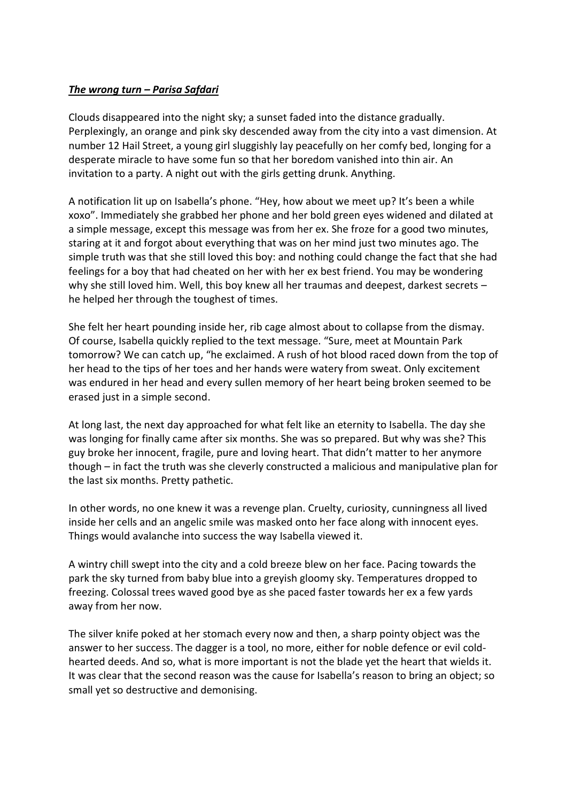## *The wrong turn – Parisa Safdari*

Clouds disappeared into the night sky; a sunset faded into the distance gradually. Perplexingly, an orange and pink sky descended away from the city into a vast dimension. At number 12 Hail Street, a young girl sluggishly lay peacefully on her comfy bed, longing for a desperate miracle to have some fun so that her boredom vanished into thin air. An invitation to a party. A night out with the girls getting drunk. Anything.

A notification lit up on Isabella's phone. "Hey, how about we meet up? It's been a while xoxo". Immediately she grabbed her phone and her bold green eyes widened and dilated at a simple message, except this message was from her ex. She froze for a good two minutes, staring at it and forgot about everything that was on her mind just two minutes ago. The simple truth was that she still loved this boy: and nothing could change the fact that she had feelings for a boy that had cheated on her with her ex best friend. You may be wondering why she still loved him. Well, this boy knew all her traumas and deepest, darkest secrets – he helped her through the toughest of times.

She felt her heart pounding inside her, rib cage almost about to collapse from the dismay. Of course, Isabella quickly replied to the text message. "Sure, meet at Mountain Park tomorrow? We can catch up, "he exclaimed. A rush of hot blood raced down from the top of her head to the tips of her toes and her hands were watery from sweat. Only excitement was endured in her head and every sullen memory of her heart being broken seemed to be erased just in a simple second.

At long last, the next day approached for what felt like an eternity to Isabella. The day she was longing for finally came after six months. She was so prepared. But why was she? This guy broke her innocent, fragile, pure and loving heart. That didn't matter to her anymore though – in fact the truth was she cleverly constructed a malicious and manipulative plan for the last six months. Pretty pathetic.

In other words, no one knew it was a revenge plan. Cruelty, curiosity, cunningness all lived inside her cells and an angelic smile was masked onto her face along with innocent eyes. Things would avalanche into success the way Isabella viewed it.

A wintry chill swept into the city and a cold breeze blew on her face. Pacing towards the park the sky turned from baby blue into a greyish gloomy sky. Temperatures dropped to freezing. Colossal trees waved good bye as she paced faster towards her ex a few yards away from her now.

The silver knife poked at her stomach every now and then, a sharp pointy object was the answer to her success. The dagger is a tool, no more, either for noble defence or evil coldhearted deeds. And so, what is more important is not the blade yet the heart that wields it. It was clear that the second reason was the cause for Isabella's reason to bring an object; so small yet so destructive and demonising.